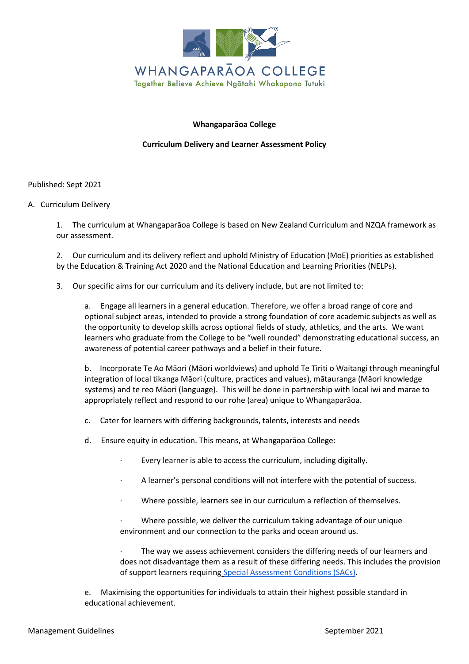

# **Whangaparāoa College**

# **Curriculum Delivery and Learner Assessment Policy**

Published: Sept 2021

# A. Curriculum Delivery

1. The curriculum at Whangaparāoa College is based on New Zealand Curriculum and NZQA framework as our assessment.

2. Our curriculum and its delivery reflect and uphold Ministry of Education (MoE) priorities as established by the Education & Training Act 2020 and the National Education and Learning Priorities (NELPs).

3. Our specific aims for our curriculum and its delivery include, but are not limited to:

a. Engage all learners in a general education. Therefore, we offer a broad range of core and optional subject areas, intended to provide a strong foundation of core academic subjects as well as the opportunity to develop skills across optional fields of study, athletics, and the arts. We want learners who graduate from the College to be "well rounded" demonstrating educational success, an awareness of potential career pathways and a belief in their future.

b. Incorporate Te Ao Māori (Māori worldviews) and uphold Te Tiriti o Waitangi through meaningful integration of local tikanga Māori (culture, practices and values), mātauranga (Māori knowledge systems) and te reo Māori (language). This will be done in partnership with local iwi and marae to appropriately reflect and respond to our rohe (area) unique to Whangaparāoa.

- c. Cater for learners with differing backgrounds, talents, interests and needs
- d. Ensure equity in education. This means, at Whangaparāoa College:
	- Every learner is able to access the curriculum, including digitally.
	- A learner's personal conditions will not interfere with the potential of success.
	- · Where possible, learners see in our curriculum a reflection of themselves.

Where possible, we deliver the curriculum taking advantage of our unique environment and our connection to the parks and ocean around us.

The way we assess achievement considers the differing needs of our learners and does not disadvantage them as a result of these differing needs. This includes the provision of support learners requiring [Special Assessment Conditions \(SACs\).](https://www.education.govt.nz/school/student-support/special-education/special-assessment-conditions/)

e. Maximising the opportunities for individuals to attain their highest possible standard in educational achievement.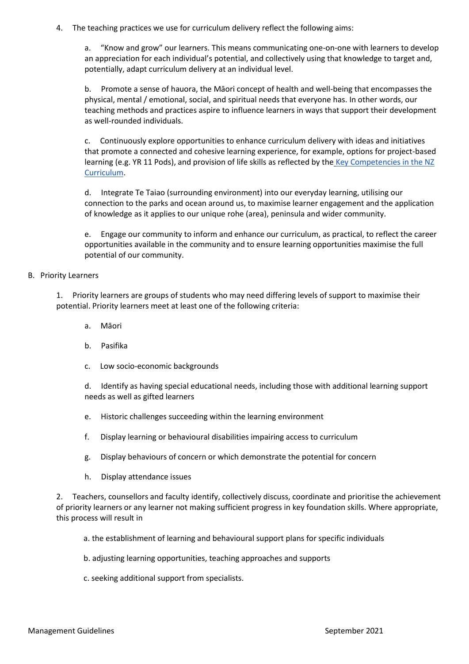4. The teaching practices we use for curriculum delivery reflect the following aims:

a. "Know and grow" our learners. This means communicating one-on-one with learners to develop an appreciation for each individual's potential, and collectively using that knowledge to target and, potentially, adapt curriculum delivery at an individual level.

b. Promote a sense of hauora, the Māori concept of health and well-being that encompasses the physical, mental / emotional, social, and spiritual needs that everyone has. In other words, our teaching methods and practices aspire to influence learners in ways that support their development as well-rounded individuals.

c. Continuously explore opportunities to enhance curriculum delivery with ideas and initiatives that promote a connected and cohesive learning experience, for example, options for project-based learning (e.g. YR 11 Pods), and provision of life skills as reflected by the [Key Competencies in the NZ](https://nzcurriculum.tki.org.nz/The-New-Zealand-Curriculum#collapsible7)  [Curriculum.](https://nzcurriculum.tki.org.nz/The-New-Zealand-Curriculum#collapsible7)

d. Integrate Te Taiao (surrounding environment) into our everyday learning, utilising our connection to the parks and ocean around us, to maximise learner engagement and the application of knowledge as it applies to our unique rohe (area), peninsula and wider community.

e. Engage our community to inform and enhance our curriculum, as practical, to reflect the career opportunities available in the community and to ensure learning opportunities maximise the full potential of our community.

# B. Priority Learners

1. Priority learners are groups of students who may need differing levels of support to maximise their potential. Priority learners meet at least one of the following criteria:

- a. Māori
- b. Pasifika
- c. Low socio-economic backgrounds

d. Identify as having special educational needs, including those with additional learning support needs as well as gifted learners

- e. Historic challenges succeeding within the learning environment
- f. Display learning or behavioural disabilities impairing access to curriculum
- g. Display behaviours of concern or which demonstrate the potential for concern
- h. Display attendance issues

2. Teachers, counsellors and faculty identify, collectively discuss, coordinate and prioritise the achievement of priority learners or any learner not making sufficient progress in key foundation skills. Where appropriate, this process will result in

- a. the establishment of learning and behavioural support plans for specific individuals
- b. adjusting learning opportunities, teaching approaches and supports
- c. seeking additional support from specialists.